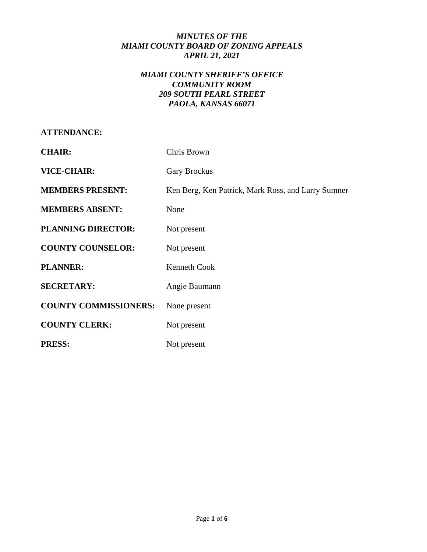# *MINUTES OF THE MIAMI COUNTY BOARD OF ZONING APPEALS APRIL 21, 2021*

# *MIAMI COUNTY SHERIFF'S OFFICE COMMUNITY ROOM 209 SOUTH PEARL STREET PAOLA, KANSAS 66071*

| <b>CHAIR:</b>                | Chris Brown                                        |
|------------------------------|----------------------------------------------------|
| <b>VICE-CHAIR:</b>           | <b>Gary Brockus</b>                                |
| <b>MEMBERS PRESENT:</b>      | Ken Berg, Ken Patrick, Mark Ross, and Larry Sumner |
| <b>MEMBERS ABSENT:</b>       | None                                               |
| <b>PLANNING DIRECTOR:</b>    | Not present                                        |
| <b>COUNTY COUNSELOR:</b>     | Not present                                        |
| <b>PLANNER:</b>              | <b>Kenneth Cook</b>                                |
| <b>SECRETARY:</b>            | Angie Baumann                                      |
| <b>COUNTY COMMISSIONERS:</b> | None present                                       |
| <b>COUNTY CLERK:</b>         | Not present                                        |

PRESS: Not present

**ATTENDANCE:**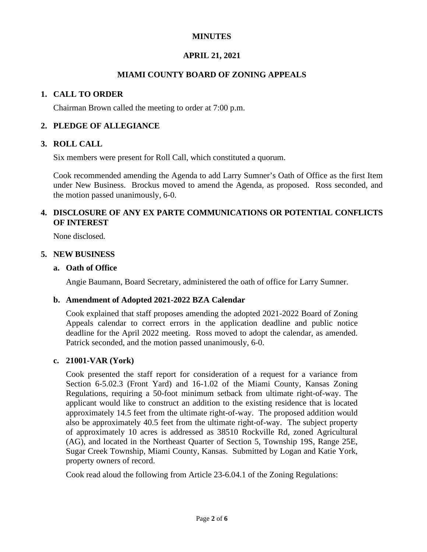# **MINUTES**

# **APRIL 21, 2021**

# **MIAMI COUNTY BOARD OF ZONING APPEALS**

### **1. CALL TO ORDER**

Chairman Brown called the meeting to order at 7:00 p.m.

#### **2. PLEDGE OF ALLEGIANCE**

#### **3. ROLL CALL**

Six members were present for Roll Call, which constituted a quorum.

Cook recommended amending the Agenda to add Larry Sumner's Oath of Office as the first Item under New Business. Brockus moved to amend the Agenda, as proposed. Ross seconded, and the motion passed unanimously, 6-0.

# **4. DISCLOSURE OF ANY EX PARTE COMMUNICATIONS OR POTENTIAL CONFLICTS OF INTEREST**

None disclosed.

#### **5. NEW BUSINESS**

#### **a. Oath of Office**

Angie Baumann, Board Secretary, administered the oath of office for Larry Sumner.

#### **b. Amendment of Adopted 2021-2022 BZA Calendar**

Cook explained that staff proposes amending the adopted 2021-2022 Board of Zoning Appeals calendar to correct errors in the application deadline and public notice deadline for the April 2022 meeting. Ross moved to adopt the calendar, as amended. Patrick seconded, and the motion passed unanimously, 6-0.

#### **c. 21001-VAR (York)**

Cook presented the staff report for consideration of a request for a variance from Section 6-5.02.3 (Front Yard) and 16-1.02 of the Miami County, Kansas Zoning Regulations, requiring a 50-foot minimum setback from ultimate right-of-way. The applicant would like to construct an addition to the existing residence that is located approximately 14.5 feet from the ultimate right-of-way. The proposed addition would also be approximately 40.5 feet from the ultimate right-of-way. The subject property of approximately 10 acres is addressed as 38510 Rockville Rd, zoned Agricultural (AG), and located in the Northeast Quarter of Section 5, Township 19S, Range 25E, Sugar Creek Township, Miami County, Kansas. Submitted by Logan and Katie York, property owners of record.

Cook read aloud the following from Article 23-6.04.1 of the Zoning Regulations: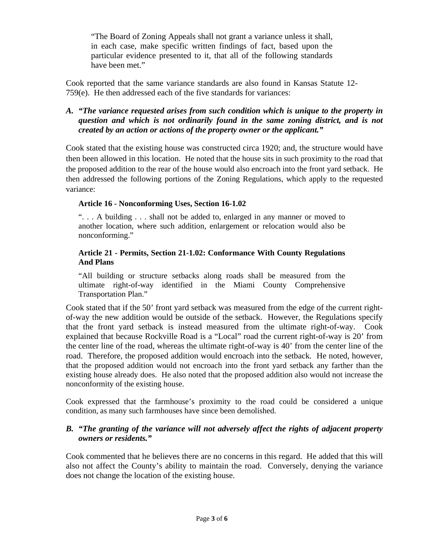"The Board of Zoning Appeals shall not grant a variance unless it shall, in each case, make specific written findings of fact, based upon the particular evidence presented to it, that all of the following standards have been met."

Cook reported that the same variance standards are also found in Kansas Statute 12- 759(e). He then addressed each of the five standards for variances:

# *A. "The variance requested arises from such condition which is unique to the property in question and which is not ordinarily found in the same zoning district, and is not created by an action or actions of the property owner or the applicant."*

Cook stated that the existing house was constructed circa 1920; and, the structure would have then been allowed in this location. He noted that the house sits in such proximity to the road that the proposed addition to the rear of the house would also encroach into the front yard setback. He then addressed the following portions of the Zoning Regulations, which apply to the requested variance:

### **Article 16 - Nonconforming Uses, Section 16-1.02**

". . . A building . . . shall not be added to, enlarged in any manner or moved to another location, where such addition, enlargement or relocation would also be nonconforming."

#### **Article 21 - Permits, Section 21-1.02: Conformance With County Regulations And Plans**

"All building or structure setbacks along roads shall be measured from the ultimate right-of-way identified in the Miami County Comprehensive Transportation Plan."

Cook stated that if the 50' front yard setback was measured from the edge of the current rightof-way the new addition would be outside of the setback. However, the Regulations specify that the front yard setback is instead measured from the ultimate right-of-way. Cook explained that because Rockville Road is a "Local" road the current right-of-way is 20' from the center line of the road, whereas the ultimate right-of-way is 40' from the center line of the road. Therefore, the proposed addition would encroach into the setback*.* He noted, however, that the proposed addition would not encroach into the front yard setback any farther than the existing house already does. He also noted that the proposed addition also would not increase the nonconformity of the existing house.

Cook expressed that the farmhouse's proximity to the road could be considered a unique condition, as many such farmhouses have since been demolished.

# *B. "The granting of the variance will not adversely affect the rights of adjacent property owners or residents."*

Cook commented that he believes there are no concerns in this regard. He added that this will also not affect the County's ability to maintain the road. Conversely, denying the variance does not change the location of the existing house.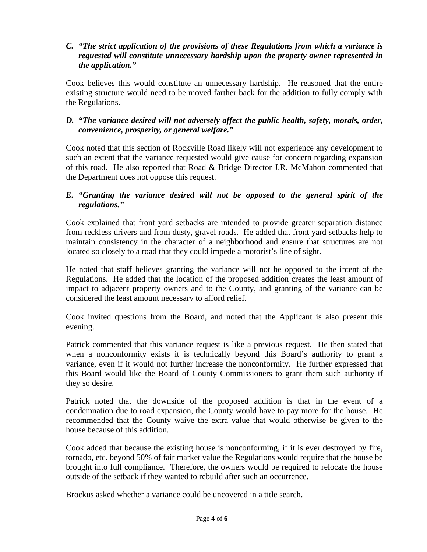# *C. "The strict application of the provisions of these Regulations from which a variance is requested will constitute unnecessary hardship upon the property owner represented in the application."*

Cook believes this would constitute an unnecessary hardship. He reasoned that the entire existing structure would need to be moved farther back for the addition to fully comply with the Regulations.

# *D. "The variance desired will not adversely affect the public health, safety, morals, order, convenience, prosperity, or general welfare."*

Cook noted that this section of Rockville Road likely will not experience any development to such an extent that the variance requested would give cause for concern regarding expansion of this road. He also reported that Road & Bridge Director J.R. McMahon commented that the Department does not oppose this request.

### *E. "Granting the variance desired will not be opposed to the general spirit of the regulations."*

Cook explained that front yard setbacks are intended to provide greater separation distance from reckless drivers and from dusty, gravel roads. He added that front yard setbacks help to maintain consistency in the character of a neighborhood and ensure that structures are not located so closely to a road that they could impede a motorist's line of sight.

He noted that staff believes granting the variance will not be opposed to the intent of the Regulations. He added that the location of the proposed addition creates the least amount of impact to adjacent property owners and to the County, and granting of the variance can be considered the least amount necessary to afford relief.

Cook invited questions from the Board, and noted that the Applicant is also present this evening.

Patrick commented that this variance request is like a previous request. He then stated that when a nonconformity exists it is technically beyond this Board's authority to grant a variance, even if it would not further increase the nonconformity. He further expressed that this Board would like the Board of County Commissioners to grant them such authority if they so desire.

Patrick noted that the downside of the proposed addition is that in the event of a condemnation due to road expansion, the County would have to pay more for the house. He recommended that the County waive the extra value that would otherwise be given to the house because of this addition.

Cook added that because the existing house is nonconforming, if it is ever destroyed by fire, tornado, etc. beyond 50% of fair market value the Regulations would require that the house be brought into full compliance. Therefore, the owners would be required to relocate the house outside of the setback if they wanted to rebuild after such an occurrence.

Brockus asked whether a variance could be uncovered in a title search.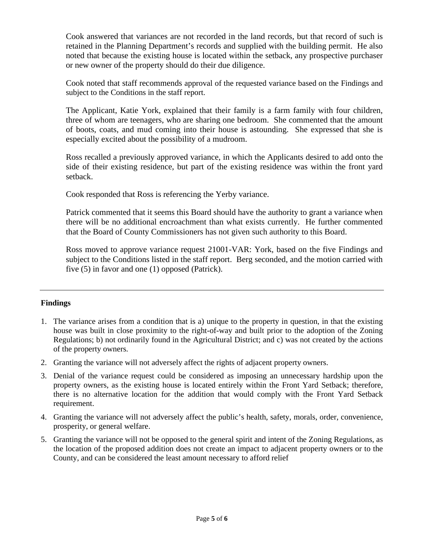Cook answered that variances are not recorded in the land records, but that record of such is retained in the Planning Department's records and supplied with the building permit. He also noted that because the existing house is located within the setback, any prospective purchaser or new owner of the property should do their due diligence.

Cook noted that staff recommends approval of the requested variance based on the Findings and subject to the Conditions in the staff report.

The Applicant, Katie York, explained that their family is a farm family with four children, three of whom are teenagers, who are sharing one bedroom. She commented that the amount of boots, coats, and mud coming into their house is astounding. She expressed that she is especially excited about the possibility of a mudroom.

Ross recalled a previously approved variance, in which the Applicants desired to add onto the side of their existing residence, but part of the existing residence was within the front yard setback.

Cook responded that Ross is referencing the Yerby variance.

Patrick commented that it seems this Board should have the authority to grant a variance when there will be no additional encroachment than what exists currently. He further commented that the Board of County Commissioners has not given such authority to this Board.

Ross moved to approve variance request 21001-VAR: York, based on the five Findings and subject to the Conditions listed in the staff report. Berg seconded, and the motion carried with five (5) in favor and one (1) opposed (Patrick).

#### **Findings**

- 1. The variance arises from a condition that is a) unique to the property in question, in that the existing house was built in close proximity to the right-of-way and built prior to the adoption of the Zoning Regulations; b) not ordinarily found in the Agricultural District; and c) was not created by the actions of the property owners.
- 2. Granting the variance will not adversely affect the rights of adjacent property owners.
- 3. Denial of the variance request could be considered as imposing an unnecessary hardship upon the property owners, as the existing house is located entirely within the Front Yard Setback; therefore, there is no alternative location for the addition that would comply with the Front Yard Setback requirement.
- 4. Granting the variance will not adversely affect the public's health, safety, morals, order, convenience, prosperity, or general welfare.
- 5. Granting the variance will not be opposed to the general spirit and intent of the Zoning Regulations, as the location of the proposed addition does not create an impact to adjacent property owners or to the County, and can be considered the least amount necessary to afford relief